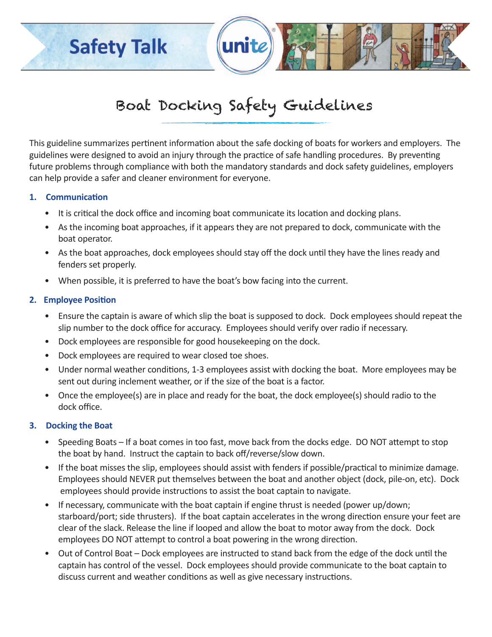## **Safety Talk**

# Boat Docking Safety Guidelines

unite

This guideline summarizes pertinent information about the safe docking of boats for workers and employers. The guidelines were designed to avoid an injury through the practice of safe handling procedures. By preventing future problems through compliance with both the mandatory standards and dock safety guidelines, employers can help provide a safer and cleaner environment for everyone.

### **1. Communication**

- It is critical the dock office and incoming boat communicate its location and docking plans.
- As the incoming boat approaches, if it appears they are not prepared to dock, communicate with the boat operator.
- As the boat approaches, dock employees should stay off the dock until they have the lines ready and fenders set properly.
- When possible, it is preferred to have the boat's bow facing into the current.

### **2. Employee Position**

- Ensure the captain is aware of which slip the boat is supposed to dock. Dock employees should repeat the slip number to the dock office for accuracy. Employees should verify over radio if necessary.
- Dock employees are responsible for good housekeeping on the dock.
- Dock employees are required to wear closed toe shoes.
- Under normal weather conditions, 1-3 employees assist with docking the boat. More employees may be sent out during inclement weather, or if the size of the boat is a factor.
- Once the employee(s) are in place and ready for the boat, the dock employee(s) should radio to the dock office.

## **3. Docking the Boat**

- Speeding Boats If a boat comes in too fast, move back from the docks edge. DO NOT attempt to stop the boat by hand. Instruct the captain to back off/reverse/slow down.
- If the boat misses the slip, employees should assist with fenders if possible/practical to minimize damage. Employees should NEVER put themselves between the boat and another object (dock, pile-on, etc). Dock employees should provide instructions to assist the boat captain to navigate.
- If necessary, communicate with the boat captain if engine thrust is needed (power up/down; starboard/port; side thrusters). If the boat captain accelerates in the wrong direction ensure your feet are clear of the slack. Release the line if looped and allow the boat to motor away from the dock. Dock employees DO NOT attempt to control a boat powering in the wrong direction.
- Out of Control Boat Dock employees are instructed to stand back from the edge of the dock until the captain has control of the vessel. Dock employees should provide communicate to the boat captain to discuss current and weather conditions as well as give necessary instructions.